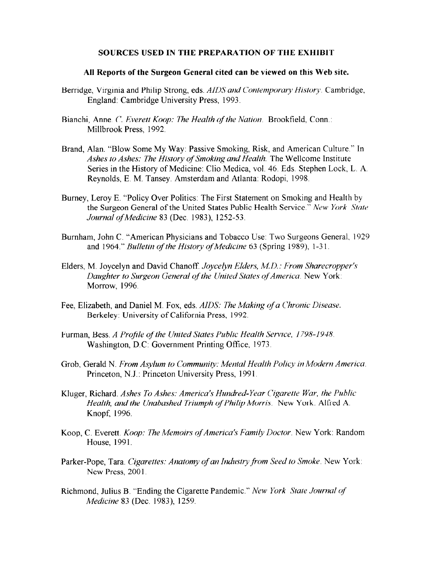## SOURCES USED IN THE PREPARATION OF THE EXHIBIT

## All Reports of the Surgeon General cited can be viewed on this Web site.

- Berridge, Virginia and Philip Strong, eds. AIDS and Contemporary History. Cambridge, England: Cambridge University Press, 1993
- Bianchi, Anne. C. Everett Koop: The Health of the Nation. Brookfield, Conn.: Millbrook Press, 1992
- Brand, Alan. "Blow Some My Way: Passive Smoking, Risk, and American Culture." In Ashes to Ashes: The History of Smoking and Health. The Wellcome Institute Series in the History of Medicine: Clio Medica, vol. 46. Eds. Stephen Lock, L. A. Reynolds, E. M. Tansey. Amsterdam and Atlanta: Rodopi, 1998.
- Burney, Leroy E. "Policy Over Politics: The First Statement on Smoking and Health by the Surgeon General of the United States Public Health Service." New York State Journal of Medicine 83 (Dec. 1983), 1252-53.
- Burnham, John C. "American Physicians and Tobacco Use: Two Surgeons General, 1929 and 1964." Bulletin of the History of Medicine 63 (Spring 1989), 1-31.
- Elders, M. Joycelyn and David Chanoff. Joycelyn Elders, M.D.: From Sharecropper's Daughter to Surgeon General of the United States of America. New York: Morrow, 1996.
- Fee, Elizabeth, and Daniel M. Fox, eds. AIDS: The Making of a Chronic Disease. Berkeley: University of California Press, 1992.
- Furman, Bess. A Profile of the United States Public Health Service, 1798-1948. Washington, D.C: Government Printing Office, 1973.
- Grob, Gerald N. From Asylum to Community: Mental Health Policy in Modern America. Princeton, N.J.: Princeton University Press, 1991.
- Kluger, Richard. Ashes To Ashes: America's Hundred-Year Cigarette War, the Public Health, and the Unabashed Triumph of Philip Morris. New York: Alfred A. Knopf, 1996.
- Koop, C. Everett. *Koop: The Memoirs of America's Family Doctor*. New York: Random House, 1991.
- Parker-Pope, Tara. Cigarettes: Anatomy of an Industry from Seed to Smoke. New York: New Press, 2001.
- Richmond, Julius B. "Ending the Cigarette Pandemic." New York State Journal of Medicine 83 (Dec. 1983), 1259.